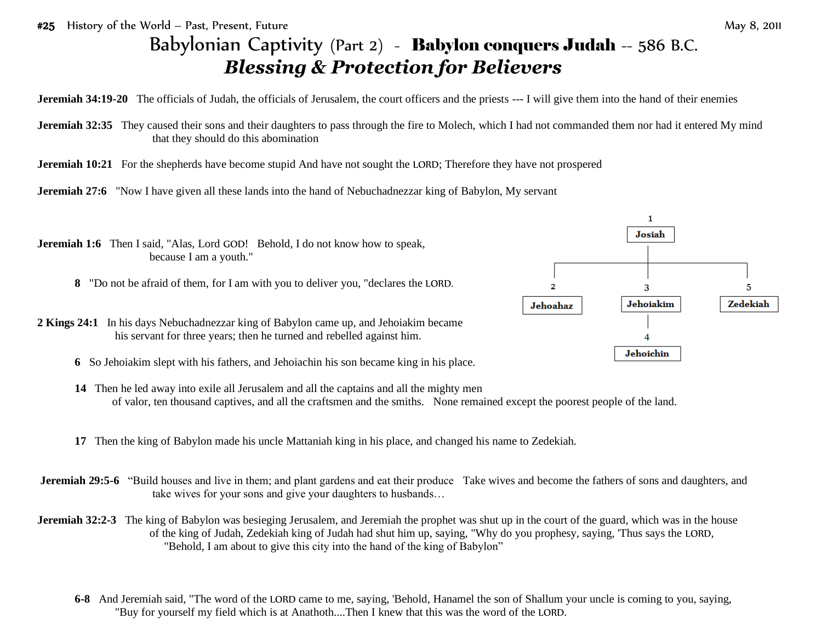#25 History of the World – Past, Present, Future May 8, 2011

## Babylonian Captivity (Part 2) - Babylon conquers Judah -- 586 B.C. *Blessing & Protection for Believers*

**Jeremiah 34:19-20** The officials of Judah, the officials of Jerusalem, the court officers and the priests --- I will give them into the hand of their enemies

- **Jeremiah 32:35** They caused their sons and their daughters to pass through the fire to Molech, which I had not commanded them nor had it entered My mind that they should do this abomination
- **Jeremiah 10:21** For the shepherds have become stupid And have not sought the LORD; Therefore they have not prospered





- **14** Then he led away into exile all Jerusalem and all the captains and all the mighty men of valor, ten thousand captives, and all the craftsmen and the smiths. None remained except the poorest people of the land.
- **17** Then the king of Babylon made his uncle Mattaniah king in his place, and changed his name to Zedekiah.
- **Jeremiah 29:5-6** "Build houses and live in them; and plant gardens and eat their produce Take wives and become the fathers of sons and daughters, and take wives for your sons and give your daughters to husbands…
- **Jeremiah 32:2-3** The king of Babylon was besieging Jerusalem, and Jeremiah the prophet was shut up in the court of the guard, which was in the house of the king of Judah, Zedekiah king of Judah had shut him up, saying, "Why do you prophesy, saying, 'Thus says the LORD, "Behold, I am about to give this city into the hand of the king of Babylon"
	- **6-8** And Jeremiah said, "The word of the LORD came to me, saying, 'Behold, Hanamel the son of Shallum your uncle is coming to you, saying, "Buy for yourself my field which is at Anathoth....Then I knew that this was the word of the LORD.